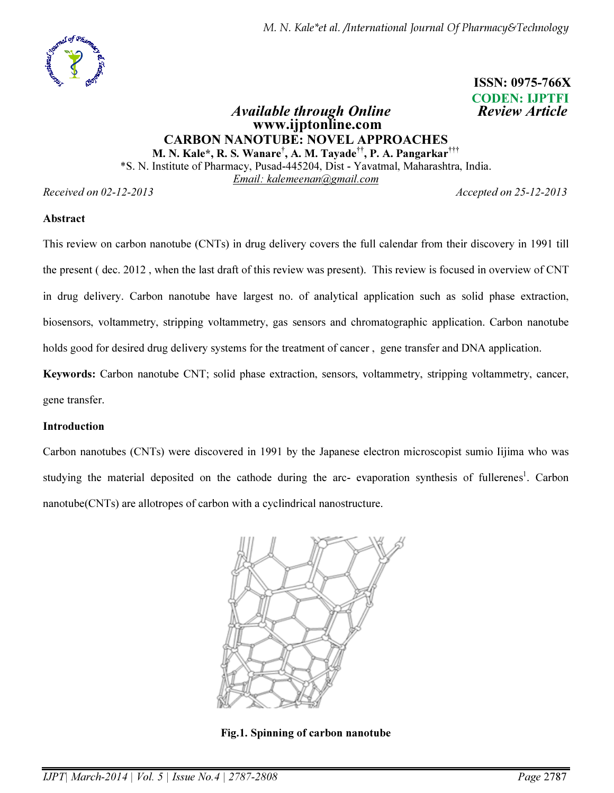

 ISSN: 0975-766X CODEN: IJPTFI

### Available through Online **Review Article**  www.ijptonline.com CARBON NANOTUBE: NOVEL APPROACHES M. N. Kale\*, R. S. Wanare† , A. M. Tayade††, P. A. Pangarkar†††

\*S. N. Institute of Pharmacy, Pusad-445204, Dist - Yavatmal, Maharashtra, India. *Email: kalemeenan@gmail.com*

*Received on 02-12-2013 Accepted on 25-12-2013*

#### Abstract

This review on carbon nanotube (CNTs) in drug delivery covers the full calendar from their discovery in 1991 till the present ( dec. 2012 , when the last draft of this review was present). This review is focused in overview of CNT in drug delivery. Carbon nanotube have largest no. of analytical application such as solid phase extraction, biosensors, voltammetry, stripping voltammetry, gas sensors and chromatographic application. Carbon nanotube holds good for desired drug delivery systems for the treatment of cancer , gene transfer and DNA application.

Keywords: Carbon nanotube CNT; solid phase extraction, sensors, voltammetry, stripping voltammetry, cancer, gene transfer.

### Introduction

Carbon nanotubes (CNTs) were discovered in 1991 by the Japanese electron microscopist sumio Iijima who was studying the material deposited on the cathode during the arc- evaporation synthesis of fullerenes<sup>1</sup>. Carbon nanotube(CNTs) are allotropes of carbon with a cyclindrical nanostructure.



Fig.1. Spinning of carbon nanotube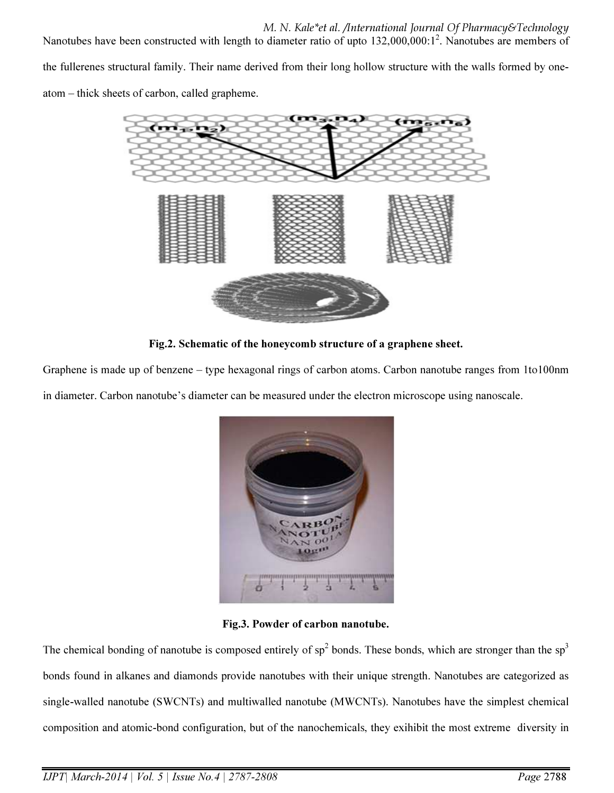M. N. Kale\*et al. /International Journal Of Pharmacy&Technology Nanotubes have been constructed with length to diameter ratio of upto 132,000,000:1<sup>2</sup>. Nanotubes are members of the fullerenes structural family. Their name derived from their long hollow structure with the walls formed by oneatom – thick sheets of carbon, called grapheme.



Fig.2. Schematic of the honeycomb structure of a graphene sheet.

Graphene is made up of benzene – type hexagonal rings of carbon atoms. Carbon nanotube ranges from 1to100nm in diameter. Carbon nanotube's diameter can be measured under the electron microscope using nanoscale.



Fig.3. Powder of carbon nanotube.

The chemical bonding of nanotube is composed entirely of  $sp^2$  bonds. These bonds, which are stronger than the  $sp^3$ bonds found in alkanes and diamonds provide nanotubes with their unique strength. Nanotubes are categorized as single-walled nanotube (SWCNTs) and multiwalled nanotube (MWCNTs). Nanotubes have the simplest chemical composition and atomic-bond configuration, but of the nanochemicals, they exihibit the most extreme diversity in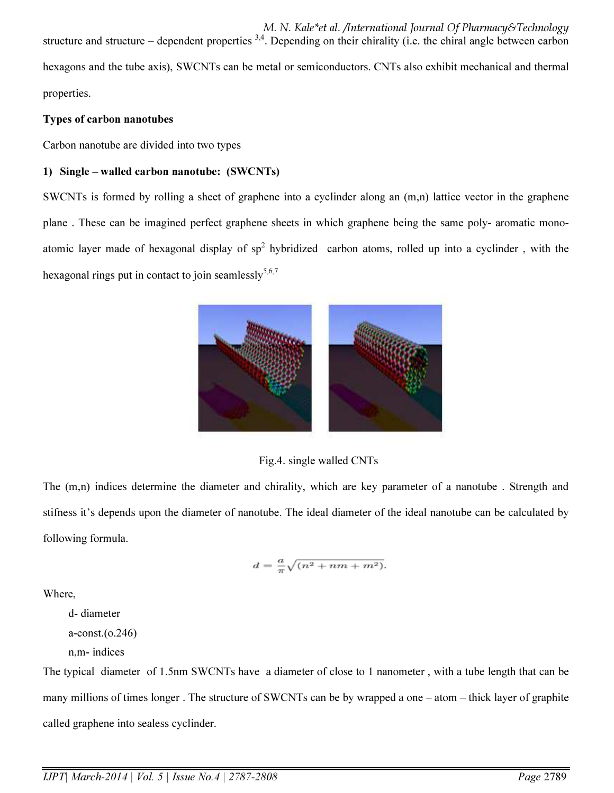M. N. Kale\*et al. /International Journal Of Pharmacy&Technology structure and structure – dependent properties  $3,4$ . Depending on their chirality (i.e. the chiral angle between carbon hexagons and the tube axis), SWCNTs can be metal or semiconductors. CNTs also exhibit mechanical and thermal properties.

### Types of carbon nanotubes

Carbon nanotube are divided into two types

### 1) Single – walled carbon nanotube: (SWCNTs)

SWCNTs is formed by rolling a sheet of graphene into a cyclinder along an (m,n) lattice vector in the graphene plane . These can be imagined perfect graphene sheets in which graphene being the same poly- aromatic monoatomic layer made of hexagonal display of  $sp^2$  hybridized carbon atoms, rolled up into a cyclinder, with the hexagonal rings put in contact to join seamlessly $5.6,7$ 



Fig.4. single walled CNTs

The (m,n) indices determine the diameter and chirality, which are key parameter of a nanotube . Strength and stifness it's depends upon the diameter of nanotube. The ideal diameter of the ideal nanotube can be calculated by following formula.

$$
d = \frac{a}{\pi} \sqrt{(n^2 + nm + m^2)}.
$$

Where,

d- diameter

a-const.(o.246)

n,m- indices

The typical diameter of 1.5nm SWCNTs have a diameter of close to 1 nanometer , with a tube length that can be many millions of times longer . The structure of SWCNTs can be by wrapped a one – atom – thick layer of graphite called graphene into sealess cyclinder.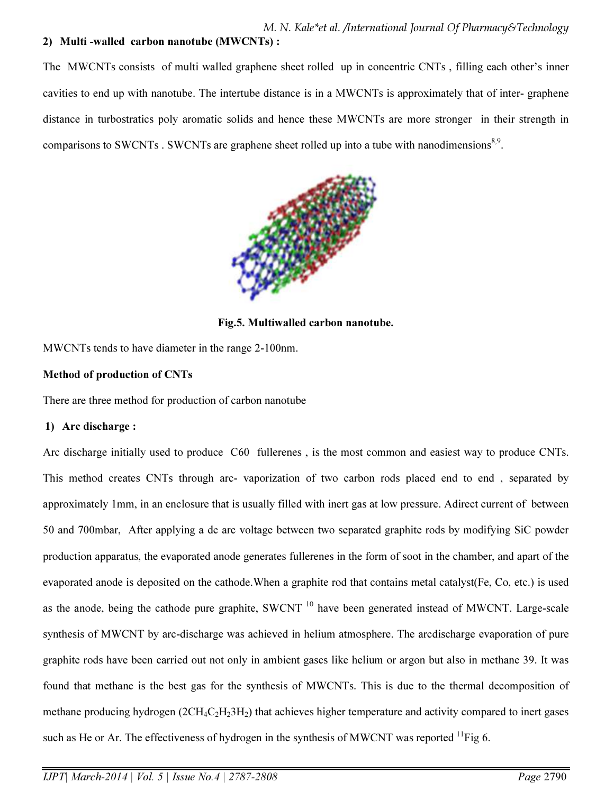# 2) Multi -walled carbon nanotube (MWCNTs) :

The MWCNTs consists of multi walled graphene sheet rolled up in concentric CNTs , filling each other's inner cavities to end up with nanotube. The intertube distance is in a MWCNTs is approximately that of inter- graphene distance in turbostratics poly aromatic solids and hence these MWCNTs are more stronger in their strength in comparisons to SWCNTs . SWCNTs are graphene sheet rolled up into a tube with nanodimensions<sup>8,9</sup>.



Fig.5. Multiwalled carbon nanotube.

MWCNTs tends to have diameter in the range 2-100nm.

### Method of production of CNTs

There are three method for production of carbon nanotube

### 1) Arc discharge :

Arc discharge initially used to produce C60 fullerenes , is the most common and easiest way to produce CNTs. This method creates CNTs through arc- vaporization of two carbon rods placed end to end , separated by approximately 1mm, in an enclosure that is usually filled with inert gas at low pressure. Adirect current of between 50 and 700mbar, After applying a dc arc voltage between two separated graphite rods by modifying SiC powder production apparatus, the evaporated anode generates fullerenes in the form of soot in the chamber, and apart of the evaporated anode is deposited on the cathode.When a graphite rod that contains metal catalyst(Fe, Co, etc.) is used as the anode, being the cathode pure graphite, SWCNT<sup>10</sup> have been generated instead of MWCNT. Large-scale synthesis of MWCNT by arc-discharge was achieved in helium atmosphere. The arcdischarge evaporation of pure graphite rods have been carried out not only in ambient gases like helium or argon but also in methane 39. It was found that methane is the best gas for the synthesis of MWCNTs. This is due to the thermal decomposition of methane producing hydrogen  $(2CH_4C_2H_23H_2)$  that achieves higher temperature and activity compared to inert gases such as He or Ar. The effectiveness of hydrogen in the synthesis of MWCNT was reported  $^{11}$ Fig 6.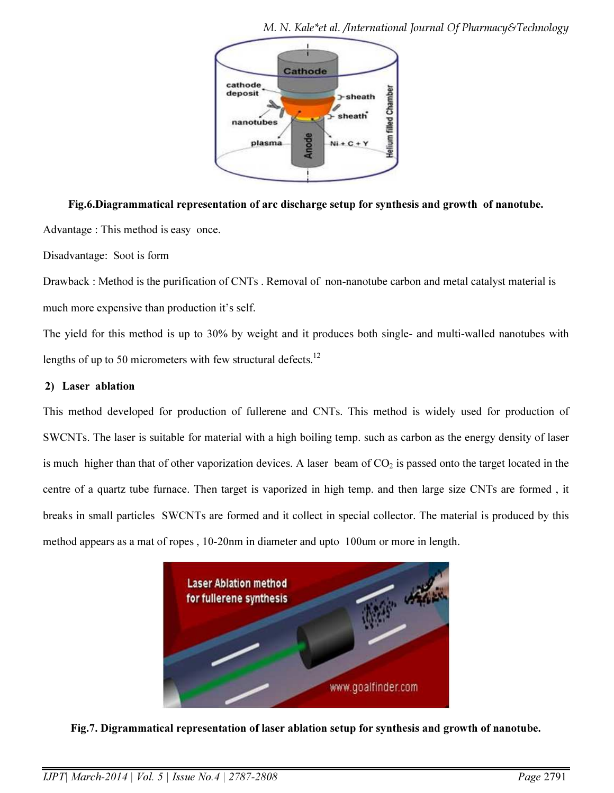

Fig.6.Diagrammatical representation of arc discharge setup for synthesis and growth of nanotube. Advantage : This method is easy once.

Disadvantage: Soot is form

Drawback : Method is the purification of CNTs . Removal of non-nanotube carbon and metal catalyst material is much more expensive than production it's self.

The yield for this method is up to 30% by weight and it produces both single- and multi-walled nanotubes with lengths of up to 50 micrometers with few structural defects.<sup>12</sup>

### 2) Laser ablation

This method developed for production of fullerene and CNTs. This method is widely used for production of SWCNTs. The laser is suitable for material with a high boiling temp. such as carbon as the energy density of laser is much higher than that of other vaporization devices. A laser beam of  $CO<sub>2</sub>$  is passed onto the target located in the centre of a quartz tube furnace. Then target is vaporized in high temp. and then large size CNTs are formed , it breaks in small particles SWCNTs are formed and it collect in special collector. The material is produced by this method appears as a mat of ropes , 10-20nm in diameter and upto 100um or more in length.



Fig.7. Digrammatical representation of laser ablation setup for synthesis and growth of nanotube.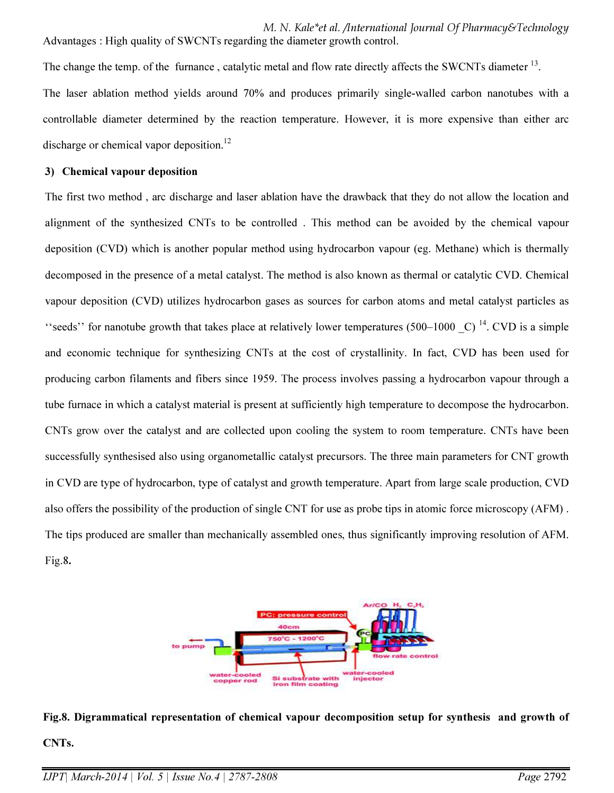M. N. Kale\*et al. /International Journal Of Pharmacy&Technology Advantages : High quality of SWCNTs regarding the diameter growth control.

The change the temp. of the furnance, catalytic metal and flow rate directly affects the SWCNTs diameter <sup>13</sup>. The laser ablation method yields around 70% and produces primarily single-walled carbon nanotubes with a controllable diameter determined by the reaction temperature. However, it is more expensive than either arc discharge or chemical vapor deposition.<sup>12</sup>

#### 3) Chemical vapour deposition

The first two method , arc discharge and laser ablation have the drawback that they do not allow the location and alignment of the synthesized CNTs to be controlled . This method can be avoided by the chemical vapour deposition (CVD) which is another popular method using hydrocarbon vapour (eg. Methane) which is thermally decomposed in the presence of a metal catalyst. The method is also known as thermal or catalytic CVD. Chemical vapour deposition (CVD) utilizes hydrocarbon gases as sources for carbon atoms and metal catalyst particles as "seeds" for nanotube growth that takes place at relatively lower temperatures (500–1000  $\,$  C)<sup>14</sup>. CVD is a simple and economic technique for synthesizing CNTs at the cost of crystallinity. In fact, CVD has been used for producing carbon filaments and fibers since 1959. The process involves passing a hydrocarbon vapour through a tube furnace in which a catalyst material is present at sufficiently high temperature to decompose the hydrocarbon. CNTs grow over the catalyst and are collected upon cooling the system to room temperature. CNTs have been successfully synthesised also using organometallic catalyst precursors. The three main parameters for CNT growth in CVD are type of hydrocarbon, type of catalyst and growth temperature. Apart from large scale production, CVD also offers the possibility of the production of single CNT for use as probe tips in atomic force microscopy (AFM) . The tips produced are smaller than mechanically assembled ones, thus significantly improving resolution of AFM. Fig.8.



Fig.8. Digrammatical representation of chemical vapour decomposition setup for synthesis and growth of CNTs.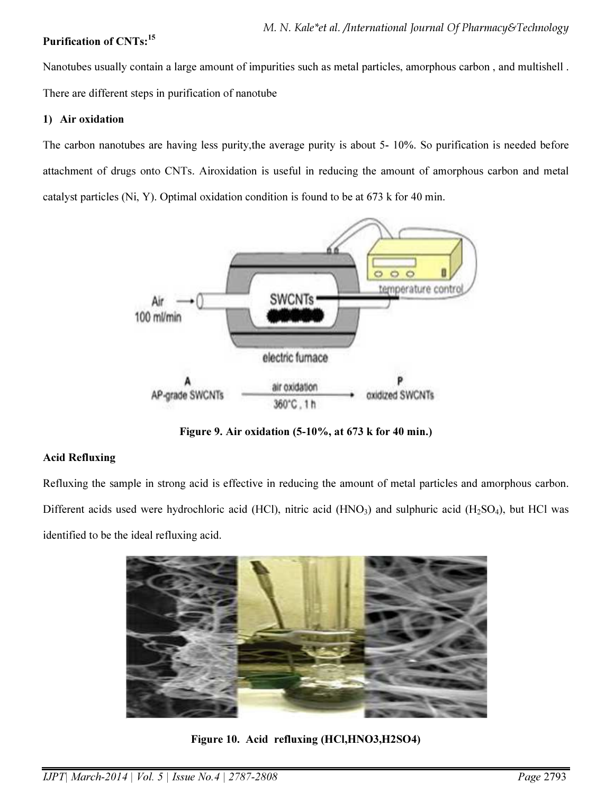### Purification of CNTs:<sup>15</sup>

Nanotubes usually contain a large amount of impurities such as metal particles, amorphous carbon , and multishell . There are different steps in purification of nanotube

#### 1) Air oxidation

The carbon nanotubes are having less purity,the average purity is about 5- 10%. So purification is needed before attachment of drugs onto CNTs. Airoxidation is useful in reducing the amount of amorphous carbon and metal catalyst particles (Ni, Y). Optimal oxidation condition is found to be at 673 k for 40 min.



Figure 9. Air oxidation (5-10%, at 673 k for 40 min.)

### Acid Refluxing

Refluxing the sample in strong acid is effective in reducing the amount of metal particles and amorphous carbon. Different acids used were hydrochloric acid (HCl), nitric acid (HNO<sub>3</sub>) and sulphuric acid (H<sub>2</sub>SO<sub>4</sub>), but HCl was identified to be the ideal refluxing acid.



Figure 10. Acid refluxing (HCl,HNO3,H2SO4)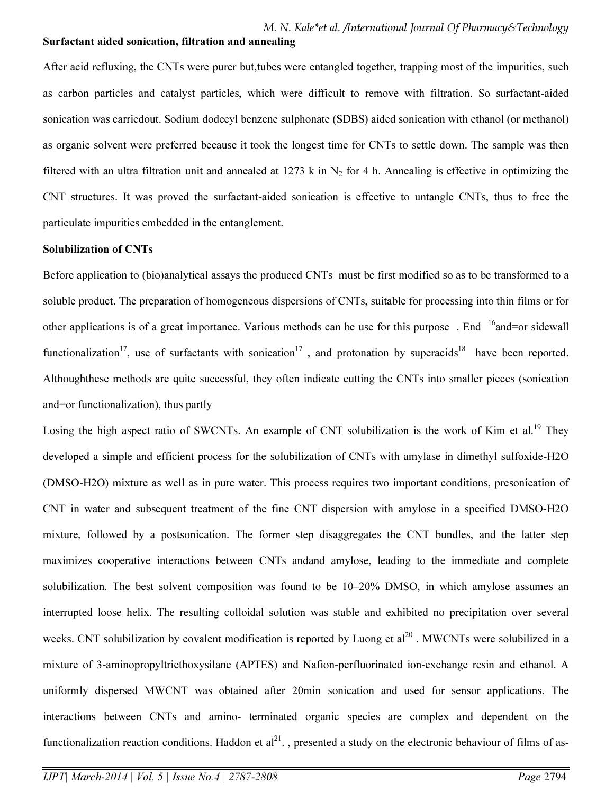#### Surfactant aided sonication, filtration and annealing

After acid refluxing, the CNTs were purer but,tubes were entangled together, trapping most of the impurities, such as carbon particles and catalyst particles, which were difficult to remove with filtration. So surfactant-aided sonication was carriedout. Sodium dodecyl benzene sulphonate (SDBS) aided sonication with ethanol (or methanol) as organic solvent were preferred because it took the longest time for CNTs to settle down. The sample was then filtered with an ultra filtration unit and annealed at 1273 k in  $N_2$  for 4 h. Annealing is effective in optimizing the CNT structures. It was proved the surfactant-aided sonication is effective to untangle CNTs, thus to free the particulate impurities embedded in the entanglement.

#### Solubilization of CNTs

Before application to (bio)analytical assays the produced CNTs must be first modified so as to be transformed to a soluble product. The preparation of homogeneous dispersions of CNTs, suitable for processing into thin films or for other applications is of a great importance. Various methods can be use for this purpose. End <sup>16</sup>and=or sidewall functionalization<sup>17</sup>, use of surfactants with sonication<sup>17</sup>, and protonation by superacids<sup>18</sup> have been reported. Althoughthese methods are quite successful, they often indicate cutting the CNTs into smaller pieces (sonication and=or functionalization), thus partly

Losing the high aspect ratio of SWCNTs. An example of CNT solubilization is the work of Kim et al.<sup>19</sup> They developed a simple and efficient process for the solubilization of CNTs with amylase in dimethyl sulfoxide-H2O (DMSO-H2O) mixture as well as in pure water. This process requires two important conditions, presonication of CNT in water and subsequent treatment of the fine CNT dispersion with amylose in a specified DMSO-H2O mixture, followed by a postsonication. The former step disaggregates the CNT bundles, and the latter step maximizes cooperative interactions between CNTs andand amylose, leading to the immediate and complete solubilization. The best solvent composition was found to be 10–20% DMSO, in which amylose assumes an interrupted loose helix. The resulting colloidal solution was stable and exhibited no precipitation over several weeks. CNT solubilization by covalent modification is reported by Luong et  $al^{20}$ . MWCNTs were solubilized in a mixture of 3-aminopropyltriethoxysilane (APTES) and Nafion-perfluorinated ion-exchange resin and ethanol. A uniformly dispersed MWCNT was obtained after 20min sonication and used for sensor applications. The interactions between CNTs and amino- terminated organic species are complex and dependent on the functionalization reaction conditions. Haddon et  $al^{21}$ , presented a study on the electronic behaviour of films of as-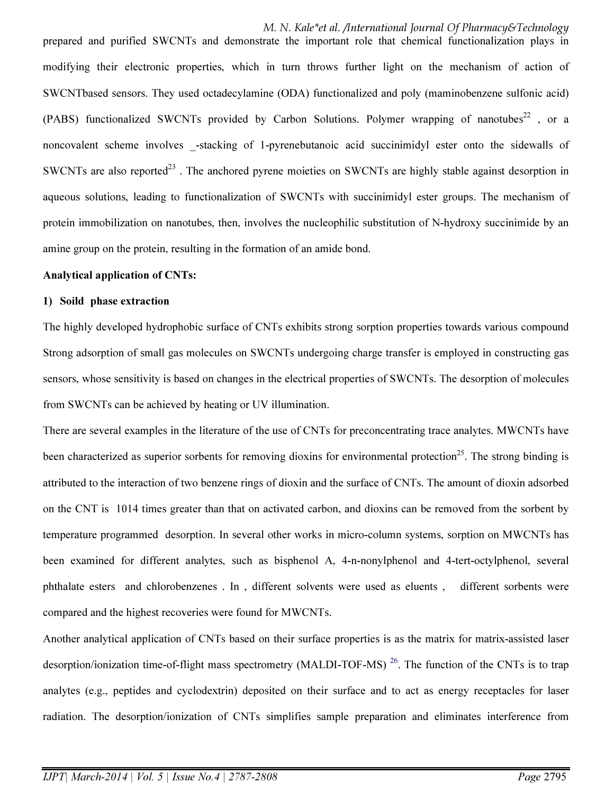M. N. Kale\*et al. /International Journal Of Pharmacy&Technology prepared and purified SWCNTs and demonstrate the important role that chemical functionalization plays in modifying their electronic properties, which in turn throws further light on the mechanism of action of SWCNTbased sensors. They used octadecylamine (ODA) functionalized and poly (maminobenzene sulfonic acid) (PABS) functionalized SWCNTs provided by Carbon Solutions. Polymer wrapping of nanotubes<sup>22</sup>, or a noncovalent scheme involves \_-stacking of 1-pyrenebutanoic acid succinimidyl ester onto the sidewalls of SWCNTs are also reported<sup>23</sup>. The anchored pyrene moieties on SWCNTs are highly stable against desorption in aqueous solutions, leading to functionalization of SWCNTs with succinimidyl ester groups. The mechanism of protein immobilization on nanotubes, then, involves the nucleophilic substitution of N-hydroxy succinimide by an amine group on the protein, resulting in the formation of an amide bond.

#### Analytical application of CNTs:

#### 1) Soild phase extraction

The highly developed hydrophobic surface of CNTs exhibits strong sorption properties towards various compound Strong adsorption of small gas molecules on SWCNTs undergoing charge transfer is employed in constructing gas sensors, whose sensitivity is based on changes in the electrical properties of SWCNTs. The desorption of molecules from SWCNTs can be achieved by heating or UV illumination.

There are several examples in the literature of the use of CNTs for preconcentrating trace analytes. MWCNTs have been characterized as superior sorbents for removing dioxins for environmental protection<sup>25</sup>. The strong binding is attributed to the interaction of two benzene rings of dioxin and the surface of CNTs. The amount of dioxin adsorbed on the CNT is 1014 times greater than that on activated carbon, and dioxins can be removed from the sorbent by temperature programmed desorption. In several other works in micro-column systems, sorption on MWCNTs has been examined for different analytes, such as bisphenol A, 4-n-nonylphenol and 4-tert-octylphenol, several phthalate esters and chlorobenzenes . In , different solvents were used as eluents , different sorbents were compared and the highest recoveries were found for MWCNTs.

Another analytical application of CNTs based on their surface properties is as the matrix for matrix-assisted laser desorption/ionization time-of-flight mass spectrometry (MALDI-TOF-MS)<sup>26</sup>. The function of the CNTs is to trap analytes (e.g., peptides and cyclodextrin) deposited on their surface and to act as energy receptacles for laser radiation. The desorption/ionization of CNTs simplifies sample preparation and eliminates interference from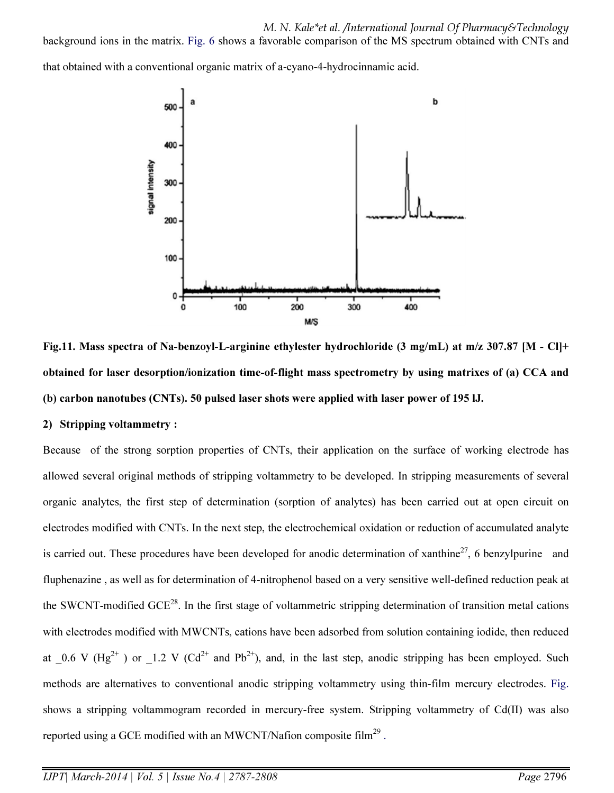background ions in the matrix. Fig. 6 shows a favorable comparison of the MS spectrum obtained with CNTs and

that obtained with a conventional organic matrix of a-cyano-4-hydrocinnamic acid.



Fig.11. Mass spectra of Na-benzoyl-L-arginine ethylester hydrochloride (3 mg/mL) at m/z 307.87 [M - Cl]+ obtained for laser desorption/ionization time-of-flight mass spectrometry by using matrixes of (a) CCA and (b) carbon nanotubes (CNTs). 50 pulsed laser shots were applied with laser power of 195 lJ.

### 2) Stripping voltammetry :

Because of the strong sorption properties of CNTs, their application on the surface of working electrode has allowed several original methods of stripping voltammetry to be developed. In stripping measurements of several organic analytes, the first step of determination (sorption of analytes) has been carried out at open circuit on electrodes modified with CNTs. In the next step, the electrochemical oxidation or reduction of accumulated analyte is carried out. These procedures have been developed for anodic determination of xanthine<sup>27</sup>, 6 benzylpurine and fluphenazine , as well as for determination of 4-nitrophenol based on a very sensitive well-defined reduction peak at the SWCNT-modified GCE<sup>28</sup>. In the first stage of voltammetric stripping determination of transition metal cations with electrodes modified with MWCNTs, cations have been adsorbed from solution containing iodide, then reduced at  $0.6$  V (Hg<sup>2+</sup>) or  $1.2$  V (Cd<sup>2+</sup> and Pb<sup>2+</sup>), and, in the last step, anodic stripping has been employed. Such methods are alternatives to conventional anodic stripping voltammetry using thin-film mercury electrodes. Fig. shows a stripping voltammogram recorded in mercury-free system. Stripping voltammetry of Cd(II) was also reported using a GCE modified with an MWCNT/Nafion composite film<sup>29</sup>.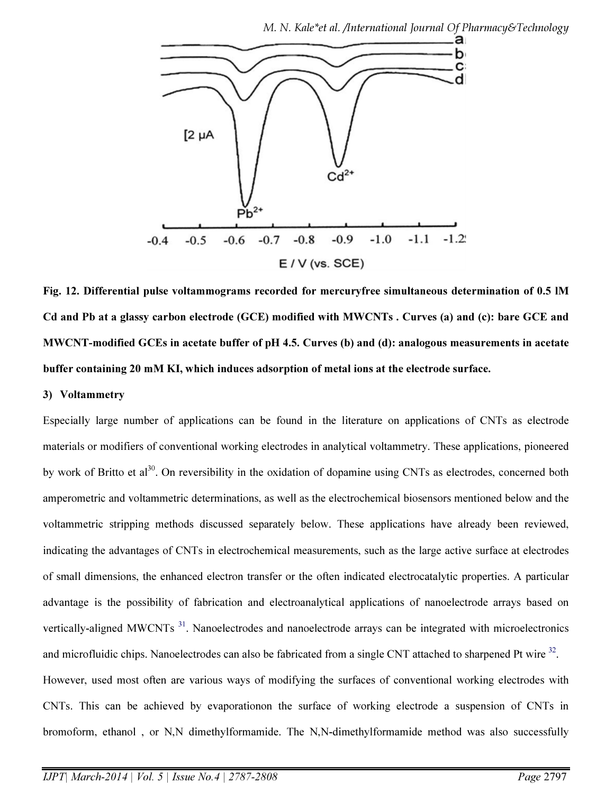

Fig. 12. Differential pulse voltammograms recorded for mercuryfree simultaneous determination of 0.5 lM Cd and Pb at a glassy carbon electrode (GCE) modified with MWCNTs . Curves (a) and (c): bare GCE and MWCNT-modified GCEs in acetate buffer of pH 4.5. Curves (b) and (d): analogous measurements in acetate buffer containing 20 mM KI, which induces adsorption of metal ions at the electrode surface.

#### 3) Voltammetry

Especially large number of applications can be found in the literature on applications of CNTs as electrode materials or modifiers of conventional working electrodes in analytical voltammetry. These applications, pioneered by work of Britto et al<sup>30</sup>. On reversibility in the oxidation of dopamine using CNTs as electrodes, concerned both amperometric and voltammetric determinations, as well as the electrochemical biosensors mentioned below and the voltammetric stripping methods discussed separately below. These applications have already been reviewed, indicating the advantages of CNTs in electrochemical measurements, such as the large active surface at electrodes of small dimensions, the enhanced electron transfer or the often indicated electrocatalytic properties. A particular advantage is the possibility of fabrication and electroanalytical applications of nanoelectrode arrays based on vertically-aligned MWCNTs<sup>31</sup>. Nanoelectrodes and nanoelectrode arrays can be integrated with microelectronics and microfluidic chips. Nanoelectrodes can also be fabricated from a single CNT attached to sharpened Pt wire  $32$ . However, used most often are various ways of modifying the surfaces of conventional working electrodes with CNTs. This can be achieved by evaporationon the surface of working electrode a suspension of CNTs in bromoform, ethanol , or N,N dimethylformamide. The N,N-dimethylformamide method was also successfully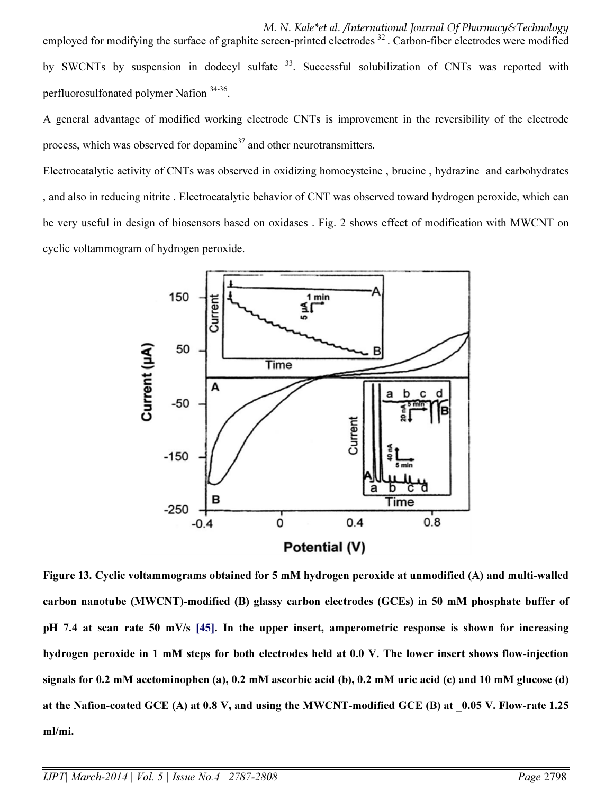M. N. Kale\*et al. /International Journal Of Pharmacy&Technology employed for modifying the surface of graphite screen-printed electrodes  $32$ . Carbon-fiber electrodes were modified by SWCNTs by suspension in dodecyl sulfate <sup>33</sup>. Successful solubilization of CNTs was reported with perfluorosulfonated polymer Nafion<sup>34-36</sup>.

A general advantage of modified working electrode CNTs is improvement in the reversibility of the electrode process, which was observed for dopamine<sup>37</sup> and other neurotransmitters.

Electrocatalytic activity of CNTs was observed in oxidizing homocysteine , brucine , hydrazine and carbohydrates , and also in reducing nitrite . Electrocatalytic behavior of CNT was observed toward hydrogen peroxide, which can be very useful in design of biosensors based on oxidases . Fig. 2 shows effect of modification with MWCNT on cyclic voltammogram of hydrogen peroxide.



Figure 13. Cyclic voltammograms obtained for 5 mM hydrogen peroxide at unmodified (A) and multi-walled carbon nanotube (MWCNT)-modified (B) glassy carbon electrodes (GCEs) in 50 mM phosphate buffer of pH 7.4 at scan rate 50 mV/s [45]. In the upper insert, amperometric response is shown for increasing hydrogen peroxide in 1 mM steps for both electrodes held at 0.0 V. The lower insert shows flow-injection signals for 0.2 mM acetominophen (a), 0.2 mM ascorbic acid (b), 0.2 mM uric acid (c) and 10 mM glucose (d) at the Nafion-coated GCE (A) at 0.8 V, and using the MWCNT-modified GCE (B) at \_0.05 V. Flow-rate 1.25 ml/mi.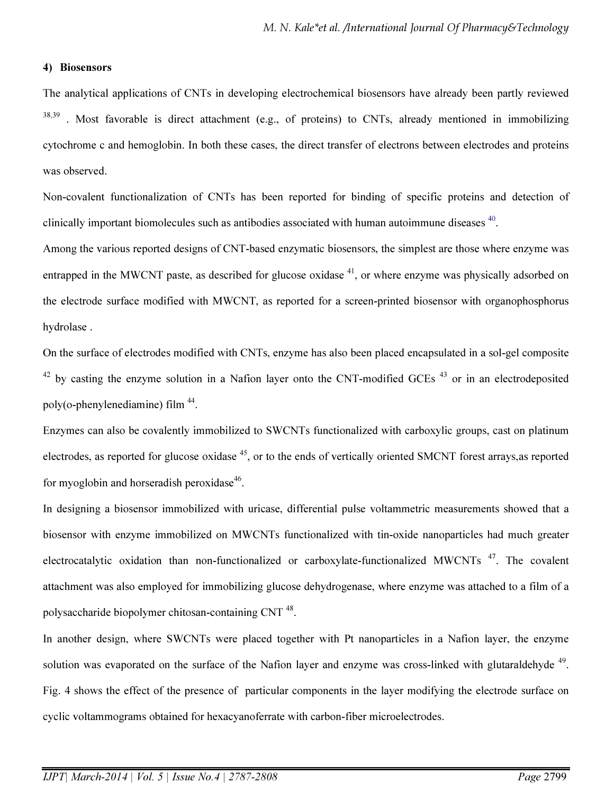#### 4) Biosensors

The analytical applications of CNTs in developing electrochemical biosensors have already been partly reviewed  $38,39$ . Most favorable is direct attachment (e.g., of proteins) to CNTs, already mentioned in immobilizing cytochrome c and hemoglobin. In both these cases, the direct transfer of electrons between electrodes and proteins was observed.

Non-covalent functionalization of CNTs has been reported for binding of specific proteins and detection of clinically important biomolecules such as antibodies associated with human autoimmune diseases  $40$ .

Among the various reported designs of CNT-based enzymatic biosensors, the simplest are those where enzyme was entrapped in the MWCNT paste, as described for glucose oxidase  $41$ , or where enzyme was physically adsorbed on the electrode surface modified with MWCNT, as reported for a screen-printed biosensor with organophosphorus hydrolase .

On the surface of electrodes modified with CNTs, enzyme has also been placed encapsulated in a sol-gel composite  $42$  by casting the enzyme solution in a Nafion layer onto the CNT-modified GCEs  $43$  or in an electrodeposited poly(o-phenylenediamine) film  $44$ .

Enzymes can also be covalently immobilized to SWCNTs functionalized with carboxylic groups, cast on platinum electrodes, as reported for glucose oxidase <sup>45</sup>, or to the ends of vertically oriented SMCNT forest arrays, as reported for myoglobin and horseradish peroxidase $46$ .

In designing a biosensor immobilized with uricase, differential pulse voltammetric measurements showed that a biosensor with enzyme immobilized on MWCNTs functionalized with tin-oxide nanoparticles had much greater electrocatalytic oxidation than non-functionalized or carboxylate-functionalized MWCNTs<sup>47</sup>. The covalent attachment was also employed for immobilizing glucose dehydrogenase, where enzyme was attached to a film of a polysaccharide biopolymer chitosan-containing CNT<sup>48</sup>.

In another design, where SWCNTs were placed together with Pt nanoparticles in a Nafion layer, the enzyme solution was evaporated on the surface of the Nafion layer and enzyme was cross-linked with glutaraldehyde <sup>49</sup>. Fig. 4 shows the effect of the presence of particular components in the layer modifying the electrode surface on cyclic voltammograms obtained for hexacyanoferrate with carbon-fiber microelectrodes.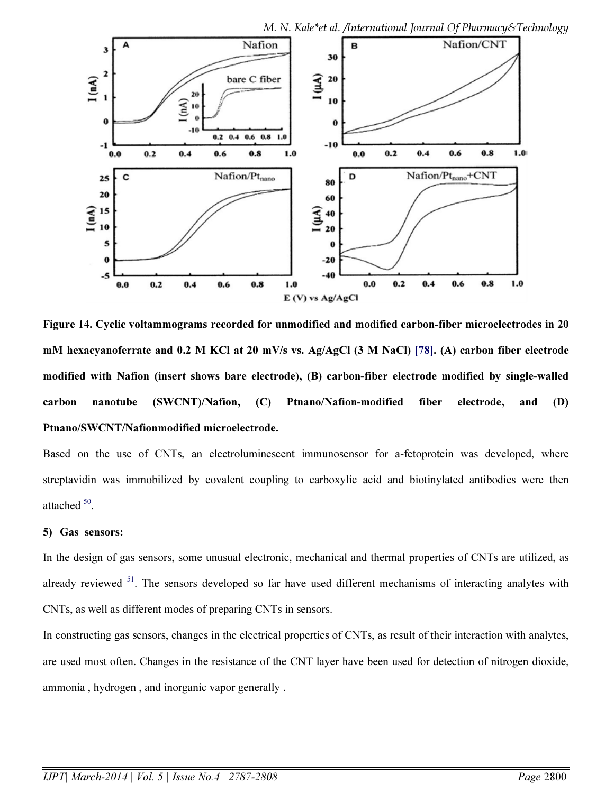

Figure 14. Cyclic voltammograms recorded for unmodified and modified carbon-fiber microelectrodes in 20 mM hexacyanoferrate and 0.2 M KCl at 20 mV/s vs. Ag/AgCl (3 M NaCl) [78]. (A) carbon fiber electrode modified with Nafion (insert shows bare electrode), (B) carbon-fiber electrode modified by single-walled carbon nanotube (SWCNT)/Nafion, (C) Ptnano/Nafion-modified fiber electrode, and (D) Ptnano/SWCNT/Nafionmodified microelectrode.

Based on the use of CNTs, an electroluminescent immunosensor for a-fetoprotein was developed, where streptavidin was immobilized by covalent coupling to carboxylic acid and biotinylated antibodies were then attached  $50$ .

#### 5) Gas sensors:

In the design of gas sensors, some unusual electronic, mechanical and thermal properties of CNTs are utilized, as already reviewed <sup>51</sup>. The sensors developed so far have used different mechanisms of interacting analytes with CNTs, as well as different modes of preparing CNTs in sensors.

In constructing gas sensors, changes in the electrical properties of CNTs, as result of their interaction with analytes, are used most often. Changes in the resistance of the CNT layer have been used for detection of nitrogen dioxide, ammonia , hydrogen , and inorganic vapor generally .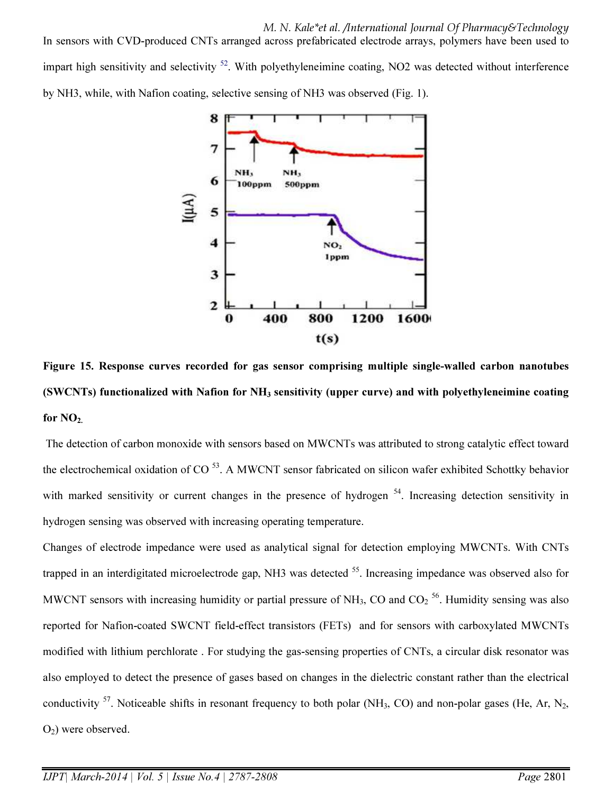M. N. Kale\*et al. /International Journal Of Pharmacy&Technology In sensors with CVD-produced CNTs arranged across prefabricated electrode arrays, polymers have been used to impart high sensitivity and selectivity  $52$ . With polyethyleneimine coating, NO2 was detected without interference by NH3, while, with Nafion coating, selective sensing of NH3 was observed (Fig. 1).



Figure 15. Response curves recorded for gas sensor comprising multiple single-walled carbon nanotubes (SWCNTs) functionalized with Nafion for  $NH<sub>3</sub>$  sensitivity (upper curve) and with polyethyleneimine coating for  $NO<sub>2</sub>$ .

 The detection of carbon monoxide with sensors based on MWCNTs was attributed to strong catalytic effect toward the electrochemical oxidation of  $CO<sup>53</sup>$ . A MWCNT sensor fabricated on silicon wafer exhibited Schottky behavior with marked sensitivity or current changes in the presence of hydrogen <sup>54</sup>. Increasing detection sensitivity in hydrogen sensing was observed with increasing operating temperature.

Changes of electrode impedance were used as analytical signal for detection employing MWCNTs. With CNTs trapped in an interdigitated microelectrode gap, NH3 was detected  $55$ . Increasing impedance was observed also for MWCNT sensors with increasing humidity or partial pressure of NH<sub>3</sub>, CO and CO<sub>2</sub><sup>56</sup>. Humidity sensing was also reported for Nafion-coated SWCNT field-effect transistors (FETs) and for sensors with carboxylated MWCNTs modified with lithium perchlorate . For studying the gas-sensing properties of CNTs, a circular disk resonator was also employed to detect the presence of gases based on changes in the dielectric constant rather than the electrical conductivity  $^{57}$ . Noticeable shifts in resonant frequency to both polar (NH<sub>3</sub>, CO) and non-polar gases (He, Ar, N<sub>2</sub>,  $O<sub>2</sub>$ ) were observed.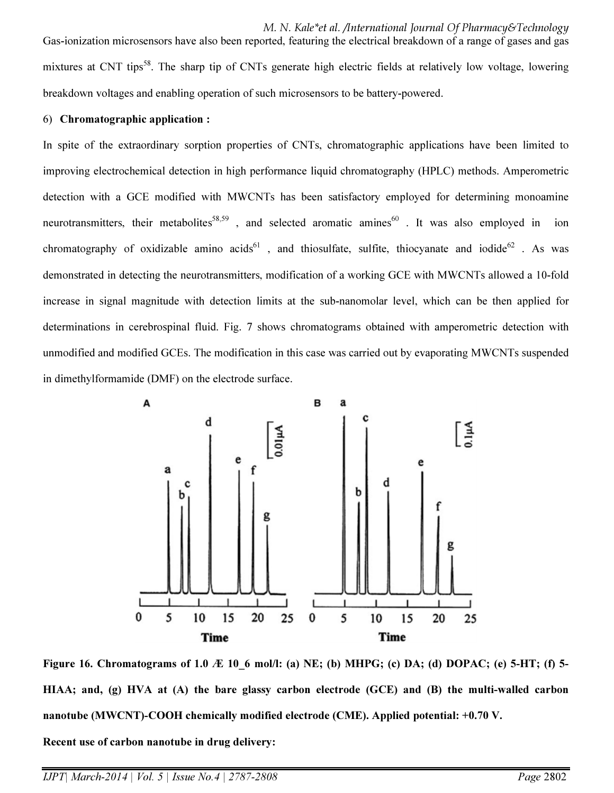M. N. Kale\*et al. /International Journal Of Pharmacy&Technology Gas-ionization microsensors have also been reported, featuring the electrical breakdown of a range of gases and gas mixtures at CNT tips<sup>58</sup>. The sharp tip of CNTs generate high electric fields at relatively low voltage, lowering breakdown voltages and enabling operation of such microsensors to be battery-powered.

#### 6) Chromatographic application :

In spite of the extraordinary sorption properties of CNTs, chromatographic applications have been limited to improving electrochemical detection in high performance liquid chromatography (HPLC) methods. Amperometric detection with a GCE modified with MWCNTs has been satisfactory employed for determining monoamine neurotransmitters, their metabolites<sup>58,59</sup>, and selected aromatic amines<sup>60</sup>. It was also employed in ion chromatography of oxidizable amino acids<sup>61</sup>, and thiosulfate, sulfite, thiocyanate and iodide<sup>62</sup>. As was demonstrated in detecting the neurotransmitters, modification of a working GCE with MWCNTs allowed a 10-fold increase in signal magnitude with detection limits at the sub-nanomolar level, which can be then applied for determinations in cerebrospinal fluid. Fig. 7 shows chromatograms obtained with amperometric detection with unmodified and modified GCEs. The modification in this case was carried out by evaporating MWCNTs suspended in dimethylformamide (DMF) on the electrode surface.



Figure 16. Chromatograms of 1.0  $\mathcal K$  10 6 mol/l: (a) NE; (b) MHPG; (c) DA; (d) DOPAC; (e) 5-HT; (f) 5-HIAA; and, (g) HVA at (A) the bare glassy carbon electrode (GCE) and (B) the multi-walled carbon nanotube (MWCNT)-COOH chemically modified electrode (CME). Applied potential: +0.70 V.

Recent use of carbon nanotube in drug delivery: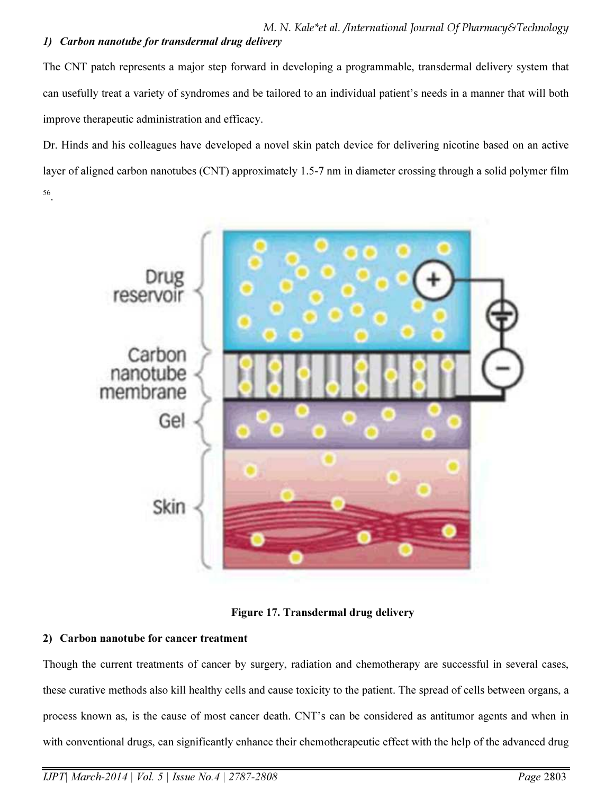The CNT patch represents a major step forward in developing a programmable, transdermal delivery system that can usefully treat a variety of syndromes and be tailored to an individual patient's needs in a manner that will both improve therapeutic administration and efficacy.

Dr. Hinds and his colleagues have developed a novel skin patch device for delivering nicotine based on an active layer of aligned carbon nanotubes (CNT) approximately 1.5-7 nm in diameter crossing through a solid polymer film 56 .



Figure 17. Transdermal drug delivery

### 2) Carbon nanotube for cancer treatment

Though the current treatments of cancer by surgery, radiation and chemotherapy are successful in several cases, these curative methods also kill healthy cells and cause toxicity to the patient. The spread of cells between organs, a process known as, is the cause of most cancer death. CNT's can be considered as antitumor agents and when in with conventional drugs, can significantly enhance their chemotherapeutic effect with the help of the advanced drug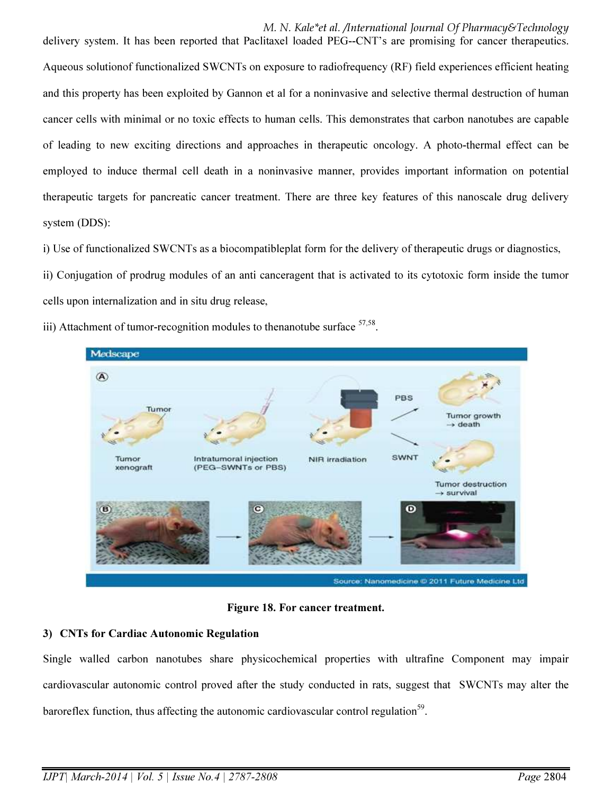delivery system. It has been reported that Paclitaxel loaded PEG--CNT's are promising for cancer therapeutics. Aqueous solutionof functionalized SWCNTs on exposure to radiofrequency (RF) field experiences efficient heating and this property has been exploited by Gannon et al for a noninvasive and selective thermal destruction of human cancer cells with minimal or no toxic effects to human cells. This demonstrates that carbon nanotubes are capable of leading to new exciting directions and approaches in therapeutic oncology. A photo-thermal effect can be employed to induce thermal cell death in a noninvasive manner, provides important information on potential therapeutic targets for pancreatic cancer treatment. There are three key features of this nanoscale drug delivery system (DDS):

i) Use of functionalized SWCNTs as a biocompatibleplat form for the delivery of therapeutic drugs or diagnostics,

ii) Conjugation of prodrug modules of an anti canceragent that is activated to its cytotoxic form inside the tumor cells upon internalization and in situ drug release,

iii) Attachment of tumor-recognition modules to thenanotube surface  $57,58$ .



Figure 18. For cancer treatment.

### 3) CNTs for Cardiac Autonomic Regulation

Single walled carbon nanotubes share physicochemical properties with ultrafine Component may impair cardiovascular autonomic control proved after the study conducted in rats, suggest that SWCNTs may alter the baroreflex function, thus affecting the autonomic cardiovascular control regulation<sup>59</sup>.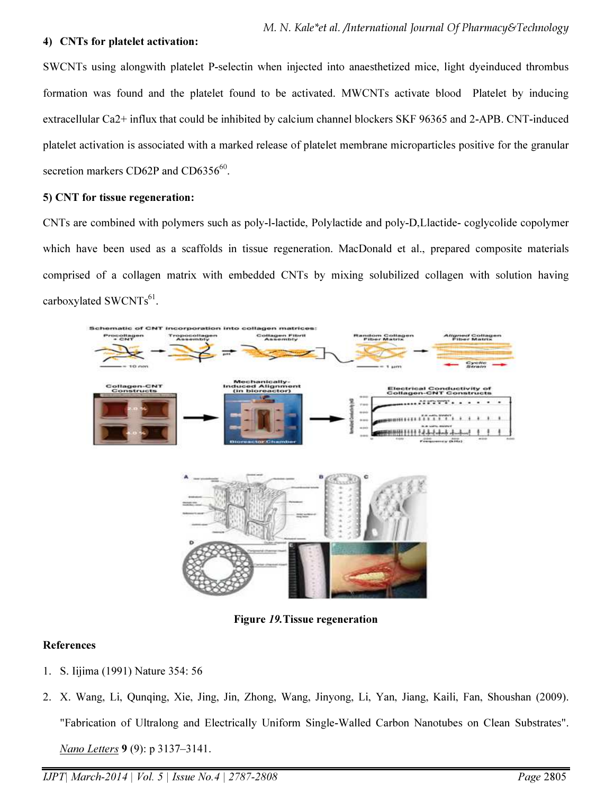#### 4) CNTs for platelet activation:

SWCNTs using alongwith platelet P-selectin when injected into anaesthetized mice, light dyeinduced thrombus formation was found and the platelet found to be activated. MWCNTs activate blood Platelet by inducing extracellular Ca2+ influx that could be inhibited by calcium channel blockers SKF 96365 and 2-APB. CNT-induced platelet activation is associated with a marked release of platelet membrane microparticles positive for the granular secretion markers CD62P and CD635 $6^{60}$ .

#### 5) CNT for tissue regeneration:

CNTs are combined with polymers such as poly-l-lactide, Polylactide and poly-D,Llactide- coglycolide copolymer which have been used as a scaffolds in tissue regeneration. MacDonald et al., prepared composite materials comprised of a collagen matrix with embedded CNTs by mixing solubilized collagen with solution having carboxylated  $\text{SWCNTs}^{61}$ .



Figure 19.Tissue regeneration

#### References

- 1. S. Iijima (1991) Nature 354: 56
- 2. X. Wang, Li, Qunqing, Xie, Jing, Jin, Zhong, Wang, Jinyong, Li, Yan, Jiang, Kaili, Fan, Shoushan (2009). "Fabrication of Ultralong and Electrically Uniform Single-Walled Carbon Nanotubes on Clean Substrates". *Nano Letters* 9 (9): p 3137–3141.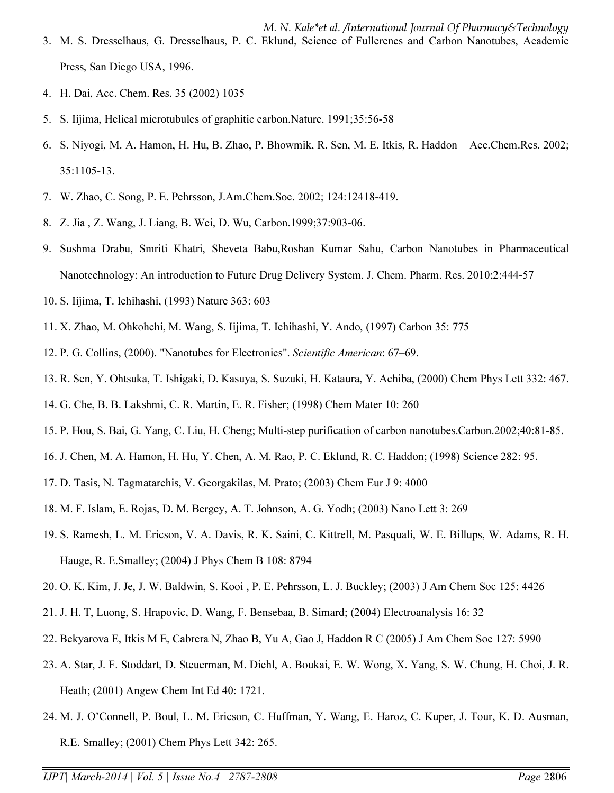M. N. Kale\*et al. /International Journal Of Pharmacy&Technology 3. M. S. Dresselhaus, G. Dresselhaus, P. C. Eklund, Science of Fullerenes and Carbon Nanotubes, Academic Press, San Diego USA, 1996.

- 4. H. Dai, Acc. Chem. Res. 35 (2002) 1035
- 5. S. Iijima, Helical microtubules of graphitic carbon.Nature. 1991;35:56-58
- 6. S. Niyogi, M. A. Hamon, H. Hu, B. Zhao, P. Bhowmik, R. Sen, M. E. Itkis, R. Haddon Acc.Chem.Res. 2002; 35:1105-13.
- 7. W. Zhao, C. Song, P. E. Pehrsson, J.Am.Chem.Soc. 2002; 124:12418-419.
- 8. Z. Jia , Z. Wang, J. Liang, B. Wei, D. Wu, Carbon.1999;37:903-06.
- 9. Sushma Drabu, Smriti Khatri, Sheveta Babu,Roshan Kumar Sahu, Carbon Nanotubes in Pharmaceutical Nanotechnology: An introduction to Future Drug Delivery System. J. Chem. Pharm. Res. 2010;2:444-57
- 10. S. Iijima, T. Ichihashi, (1993) Nature 363: 603
- 11. X. Zhao, M. Ohkohchi, M. Wang, S. Iijima, T. Ichihashi, Y. Ando, (1997) Carbon 35: 775
- 12. P. G. Collins, (2000). "Nanotubes for Electronics". *Scientific American*: 67–69.
- 13. R. Sen, Y. Ohtsuka, T. Ishigaki, D. Kasuya, S. Suzuki, H. Kataura, Y. Achiba, (2000) Chem Phys Lett 332: 467.
- 14. G. Che, B. B. Lakshmi, C. R. Martin, E. R. Fisher; (1998) Chem Mater 10: 260
- 15. P. Hou, S. Bai, G. Yang, C. Liu, H. Cheng; Multi-step purification of carbon nanotubes.Carbon.2002;40:81-85.
- 16. J. Chen, M. A. Hamon, H. Hu, Y. Chen, A. M. Rao, P. C. Eklund, R. C. Haddon; (1998) Science 282: 95.
- 17. D. Tasis, N. Tagmatarchis, V. Georgakilas, M. Prato; (2003) Chem Eur J 9: 4000
- 18. M. F. Islam, E. Rojas, D. M. Bergey, A. T. Johnson, A. G. Yodh; (2003) Nano Lett 3: 269
- 19. S. Ramesh, L. M. Ericson, V. A. Davis, R. K. Saini, C. Kittrell, M. Pasquali, W. E. Billups, W. Adams, R. H. Hauge, R. E.Smalley; (2004) J Phys Chem B 108: 8794
- 20. O. K. Kim, J. Je, J. W. Baldwin, S. Kooi , P. E. Pehrsson, L. J. Buckley; (2003) J Am Chem Soc 125: 4426
- 21. J. H. T, Luong, S. Hrapovic, D. Wang, F. Bensebaa, B. Simard; (2004) Electroanalysis 16: 32
- 22. Bekyarova E, Itkis M E, Cabrera N, Zhao B, Yu A, Gao J, Haddon R C (2005) J Am Chem Soc 127: 5990
- 23. A. Star, J. F. Stoddart, D. Steuerman, M. Diehl, A. Boukai, E. W. Wong, X. Yang, S. W. Chung, H. Choi, J. R. Heath; (2001) Angew Chem Int Ed 40: 1721.
- 24. M. J. O'Connell, P. Boul, L. M. Ericson, C. Huffman, Y. Wang, E. Haroz, C. Kuper, J. Tour, K. D. Ausman, R.E. Smalley; (2001) Chem Phys Lett 342: 265.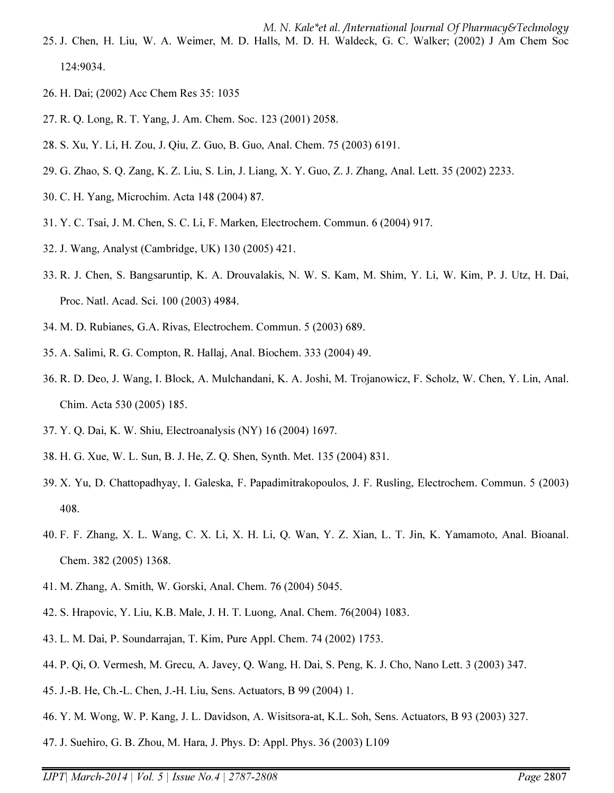- 25. J. Chen, H. Liu, W. A. Weimer, M. D. Halls, M. D. H. Waldeck, G. C. Walker; (2002) J Am Chem Soc 124:9034.
- 26. H. Dai; (2002) Acc Chem Res 35: 1035
- 27. R. Q. Long, R. T. Yang, J. Am. Chem. Soc. 123 (2001) 2058.
- 28. S. Xu, Y. Li, H. Zou, J. Qiu, Z. Guo, B. Guo, Anal. Chem. 75 (2003) 6191.
- 29. G. Zhao, S. Q. Zang, K. Z. Liu, S. Lin, J. Liang, X. Y. Guo, Z. J. Zhang, Anal. Lett. 35 (2002) 2233.
- 30. C. H. Yang, Microchim. Acta 148 (2004) 87.
- 31. Y. C. Tsai, J. M. Chen, S. C. Li, F. Marken, Electrochem. Commun. 6 (2004) 917.
- 32. J. Wang, Analyst (Cambridge, UK) 130 (2005) 421.
- 33. R. J. Chen, S. Bangsaruntip, K. A. Drouvalakis, N. W. S. Kam, M. Shim, Y. Li, W. Kim, P. J. Utz, H. Dai, Proc. Natl. Acad. Sci. 100 (2003) 4984.
- 34. M. D. Rubianes, G.A. Rivas, Electrochem. Commun. 5 (2003) 689.
- 35. A. Salimi, R. G. Compton, R. Hallaj, Anal. Biochem. 333 (2004) 49.
- 36. R. D. Deo, J. Wang, I. Block, A. Mulchandani, K. A. Joshi, M. Trojanowicz, F. Scholz, W. Chen, Y. Lin, Anal. Chim. Acta 530 (2005) 185.
- 37. Y. Q. Dai, K. W. Shiu, Electroanalysis (NY) 16 (2004) 1697.
- 38. H. G. Xue, W. L. Sun, B. J. He, Z. Q. Shen, Synth. Met. 135 (2004) 831.
- 39. X. Yu, D. Chattopadhyay, I. Galeska, F. Papadimitrakopoulos, J. F. Rusling, Electrochem. Commun. 5 (2003) 408.
- 40. F. F. Zhang, X. L. Wang, C. X. Li, X. H. Li, Q. Wan, Y. Z. Xian, L. T. Jin, K. Yamamoto, Anal. Bioanal. Chem. 382 (2005) 1368.
- 41. M. Zhang, A. Smith, W. Gorski, Anal. Chem. 76 (2004) 5045.
- 42. S. Hrapovic, Y. Liu, K.B. Male, J. H. T. Luong, Anal. Chem. 76(2004) 1083.
- 43. L. M. Dai, P. Soundarrajan, T. Kim, Pure Appl. Chem. 74 (2002) 1753.
- 44. P. Qi, O. Vermesh, M. Grecu, A. Javey, Q. Wang, H. Dai, S. Peng, K. J. Cho, Nano Lett. 3 (2003) 347.
- 45. J.-B. He, Ch.-L. Chen, J.-H. Liu, Sens. Actuators, B 99 (2004) 1.
- 46. Y. M. Wong, W. P. Kang, J. L. Davidson, A. Wisitsora-at, K.L. Soh, Sens. Actuators, B 93 (2003) 327.
- 47. J. Suehiro, G. B. Zhou, M. Hara, J. Phys. D: Appl. Phys. 36 (2003) L109